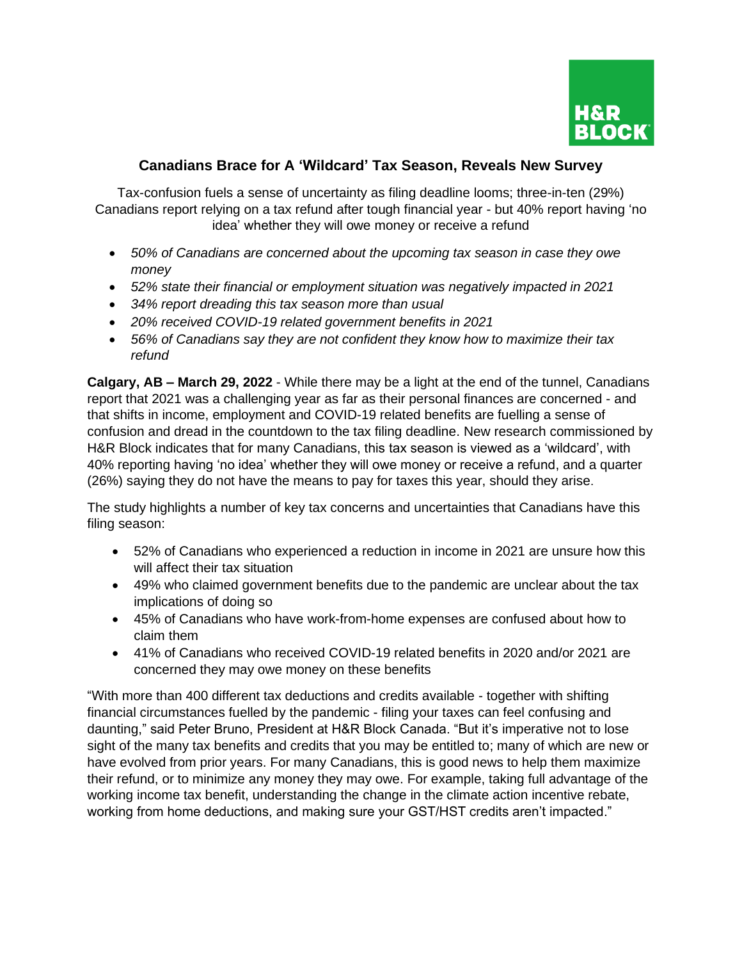

## **Canadians Brace for A 'Wildcard' Tax Season, Reveals New Survey**

Tax-confusion fuels a sense of uncertainty as filing deadline looms; three-in-ten (29%) Canadians report relying on a tax refund after tough financial year - but 40% report having 'no idea' whether they will owe money or receive a refund

- *50% of Canadians are concerned about the upcoming tax season in case they owe money*
- *52% state their financial or employment situation was negatively impacted in 2021*
- *34% report dreading this tax season more than usual*
- *20% received COVID-19 related government benefits in 2021*
- *56% of Canadians say they are not confident they know how to maximize their tax refund*

**Calgary, AB – March 29, 2022** - While there may be a light at the end of the tunnel, Canadians report that 2021 was a challenging year as far as their personal finances are concerned - and that shifts in income, employment and COVID-19 related benefits are fuelling a sense of confusion and dread in the countdown to the tax filing deadline. New research commissioned by H&R Block indicates that for many Canadians, this tax season is viewed as a 'wildcard', with 40% reporting having 'no idea' whether they will owe money or receive a refund, and a quarter (26%) saying they do not have the means to pay for taxes this year, should they arise.

The study highlights a number of key tax concerns and uncertainties that Canadians have this filing season:

- 52% of Canadians who experienced a reduction in income in 2021 are unsure how this will affect their tax situation
- 49% who claimed government benefits due to the pandemic are unclear about the tax implications of doing so
- 45% of Canadians who have work-from-home expenses are confused about how to claim them
- 41% of Canadians who received COVID-19 related benefits in 2020 and/or 2021 are concerned they may owe money on these benefits

"With more than 400 different tax deductions and credits available - together with shifting financial circumstances fuelled by the pandemic - filing your taxes can feel confusing and daunting," said Peter Bruno, President at H&R Block Canada. "But it's imperative not to lose sight of the many tax benefits and credits that you may be entitled to; many of which are new or have evolved from prior years. For many Canadians, this is good news to help them maximize their refund, or to minimize any money they may owe. For example, taking full advantage of the working income tax benefit, understanding the change in the climate action incentive rebate, working from home deductions, and making sure your GST/HST credits aren't impacted."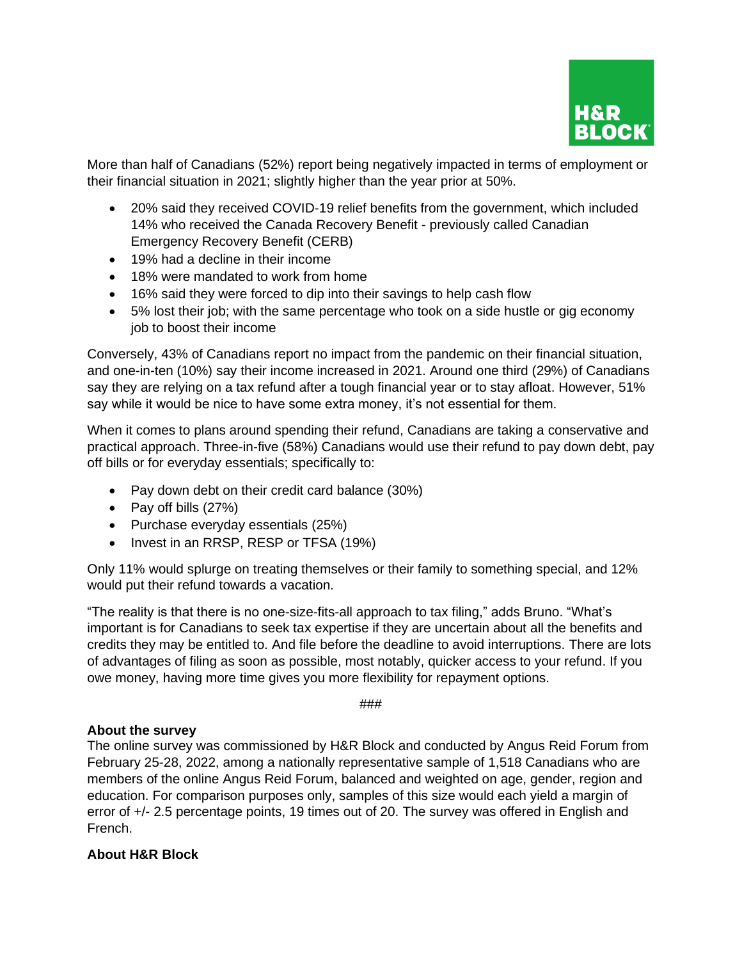

More than half of Canadians (52%) report being negatively impacted in terms of employment or their financial situation in 2021; slightly higher than the year prior at 50%.

- 20% said they received COVID-19 relief benefits from the government, which included 14% who received the Canada Recovery Benefit - previously called Canadian Emergency Recovery Benefit (CERB)
- 19% had a decline in their income
- 18% were mandated to work from home
- 16% said they were forced to dip into their savings to help cash flow
- 5% lost their job; with the same percentage who took on a side hustle or gig economy job to boost their income

Conversely, 43% of Canadians report no impact from the pandemic on their financial situation, and one-in-ten (10%) say their income increased in 2021. Around one third (29%) of Canadians say they are relying on a tax refund after a tough financial year or to stay afloat. However, 51% say while it would be nice to have some extra money, it's not essential for them.

When it comes to plans around spending their refund, Canadians are taking a conservative and practical approach. Three-in-five (58%) Canadians would use their refund to pay down debt, pay off bills or for everyday essentials; specifically to:

- Pay down debt on their credit card balance (30%)
- Pay off bills (27%)
- Purchase everyday essentials (25%)
- Invest in an RRSP, RESP or TFSA (19%)

Only 11% would splurge on treating themselves or their family to something special, and 12% would put their refund towards a vacation.

"The reality is that there is no one-size-fits-all approach to tax filing," adds Bruno. "What's important is for Canadians to seek tax expertise if they are uncertain about all the benefits and credits they may be entitled to. And file before the deadline to avoid interruptions. There are lots of advantages of filing as soon as possible, most notably, quicker access to your refund. If you owe money, having more time gives you more flexibility for repayment options.

###

## **About the survey**

The online survey was commissioned by H&R Block and conducted by Angus Reid Forum from February 25-28, 2022, among a nationally representative sample of 1,518 Canadians who are members of the online Angus Reid Forum, balanced and weighted on age, gender, region and education. For comparison purposes only, samples of this size would each yield a margin of error of +/- 2.5 percentage points, 19 times out of 20. The survey was offered in English and French.

## **About H&R Block**